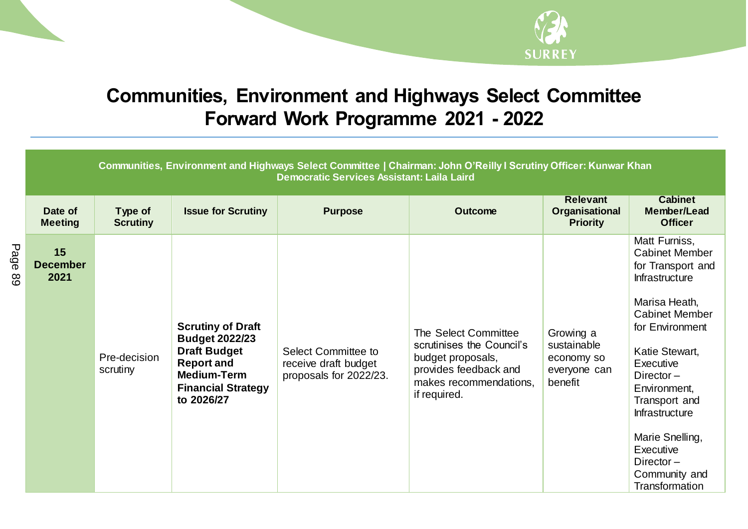

## **Communities, Environment and Highways Select Committee Forward Work Programme 2021 - 2022**

| Communities, Environment and Highways Select Committee   Chairman: John O'Reilly I Scrutiny Officer: Kunwar Khan<br><b>Democratic Services Assistant: Laila Laird</b> |                            |                                                                                                                                                                |                                                                       |                                                                                                                                           |                                                                   |                                                                                                                                                                                                                                                                                                                                        |  |
|-----------------------------------------------------------------------------------------------------------------------------------------------------------------------|----------------------------|----------------------------------------------------------------------------------------------------------------------------------------------------------------|-----------------------------------------------------------------------|-------------------------------------------------------------------------------------------------------------------------------------------|-------------------------------------------------------------------|----------------------------------------------------------------------------------------------------------------------------------------------------------------------------------------------------------------------------------------------------------------------------------------------------------------------------------------|--|
| Date of<br><b>Meeting</b>                                                                                                                                             | Type of<br><b>Scrutiny</b> | <b>Issue for Scrutiny</b>                                                                                                                                      | <b>Purpose</b>                                                        | <b>Outcome</b>                                                                                                                            | <b>Relevant</b><br>Organisational<br><b>Priority</b>              | <b>Cabinet</b><br><b>Member/Lead</b><br><b>Officer</b>                                                                                                                                                                                                                                                                                 |  |
| 15<br><b>December</b><br>2021                                                                                                                                         | Pre-decision<br>scrutiny   | <b>Scrutiny of Draft</b><br><b>Budget 2022/23</b><br><b>Draft Budget</b><br><b>Report and</b><br><b>Medium-Term</b><br><b>Financial Strategy</b><br>to 2026/27 | Select Committee to<br>receive draft budget<br>proposals for 2022/23. | The Select Committee<br>scrutinises the Council's<br>budget proposals,<br>provides feedback and<br>makes recommendations,<br>if required. | Growing a<br>sustainable<br>economy so<br>everyone can<br>benefit | Matt Furniss,<br><b>Cabinet Member</b><br>for Transport and<br><b>Infrastructure</b><br>Marisa Heath,<br><b>Cabinet Member</b><br>for Environment<br>Katie Stewart,<br>Executive<br>Director $-$<br>Environment,<br>Transport and<br>Infrastructure<br>Marie Snelling,<br>Executive<br>Director $-$<br>Community and<br>Transformation |  |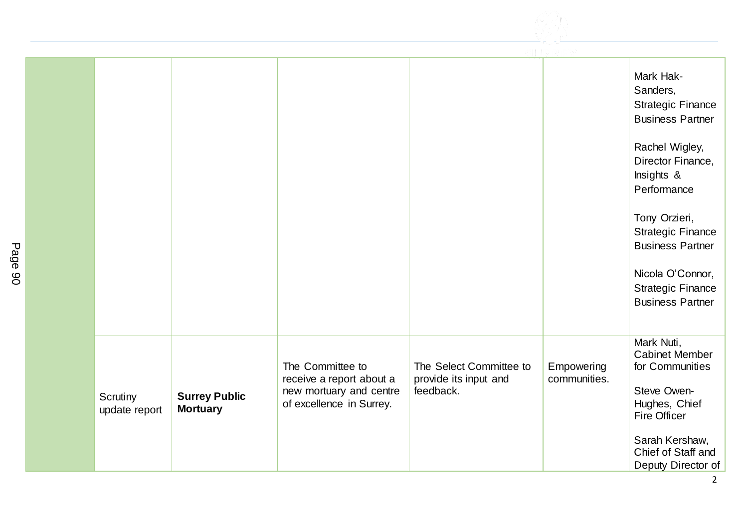

|                           |                                         |                                                                                                     |                                                               |                            | Mark Hak-<br>Sanders,<br><b>Strategic Finance</b><br><b>Business Partner</b><br>Rachel Wigley,<br>Director Finance,<br>Insights &<br>Performance<br>Tony Orzieri,<br><b>Strategic Finance</b><br><b>Business Partner</b> |
|---------------------------|-----------------------------------------|-----------------------------------------------------------------------------------------------------|---------------------------------------------------------------|----------------------------|--------------------------------------------------------------------------------------------------------------------------------------------------------------------------------------------------------------------------|
|                           |                                         |                                                                                                     |                                                               |                            | Nicola O'Connor,<br><b>Strategic Finance</b><br><b>Business Partner</b>                                                                                                                                                  |
| Scrutiny<br>update report | <b>Surrey Public</b><br><b>Mortuary</b> | The Committee to<br>receive a report about a<br>new mortuary and centre<br>of excellence in Surrey. | The Select Committee to<br>provide its input and<br>feedback. | Empowering<br>communities. | Mark Nuti,<br><b>Cabinet Member</b><br>for Communities<br>Steve Owen-<br>Hughes, Chief<br><b>Fire Officer</b><br>Sarah Kershaw,<br>Chief of Staff and<br>Deputy Director of                                              |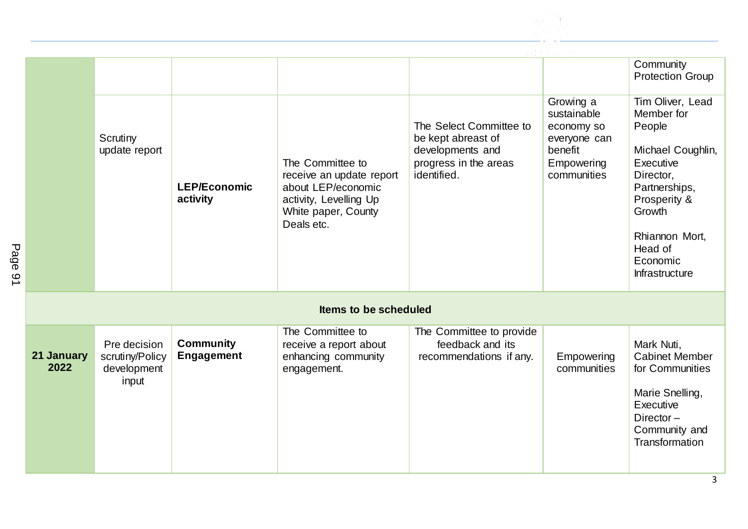

|                       | Scrutiny<br>update report                               | <b>LEP/Economic</b><br>activity       | The Committee to<br>receive an update report<br>about LEP/economic<br>activity, Levelling Up<br>White paper, County<br>Deals etc. | The Select Committee to<br>be kept abreast of<br>developments and<br>progress in the areas<br>identified. | Growing a<br>sustainable<br>economy so<br>everyone can<br>benefit<br>Empowering<br>communities | Community<br><b>Protection Group</b><br>Tim Oliver, Lead<br>Member for<br>People<br>Michael Coughlin,<br>Executive<br>Director,<br>Partnerships,<br>Prosperity &<br>Growth<br>Rhiannon Mort,<br>Head of<br>Economic<br>Infrastructure |  |
|-----------------------|---------------------------------------------------------|---------------------------------------|-----------------------------------------------------------------------------------------------------------------------------------|-----------------------------------------------------------------------------------------------------------|------------------------------------------------------------------------------------------------|---------------------------------------------------------------------------------------------------------------------------------------------------------------------------------------------------------------------------------------|--|
| Items to be scheduled |                                                         |                                       |                                                                                                                                   |                                                                                                           |                                                                                                |                                                                                                                                                                                                                                       |  |
| 21 January<br>2022    | Pre decision<br>scrutiny/Policy<br>development<br>input | <b>Community</b><br><b>Engagement</b> | The Committee to<br>receive a report about<br>enhancing community<br>engagement.                                                  | The Committee to provide<br>feedback and its<br>recommendations if any.                                   | Empowering<br>communities                                                                      | Mark Nuti,<br><b>Cabinet Member</b><br>for Communities<br>Marie Snelling,<br>Executive<br>Director $-$<br>Community and<br>Transformation                                                                                             |  |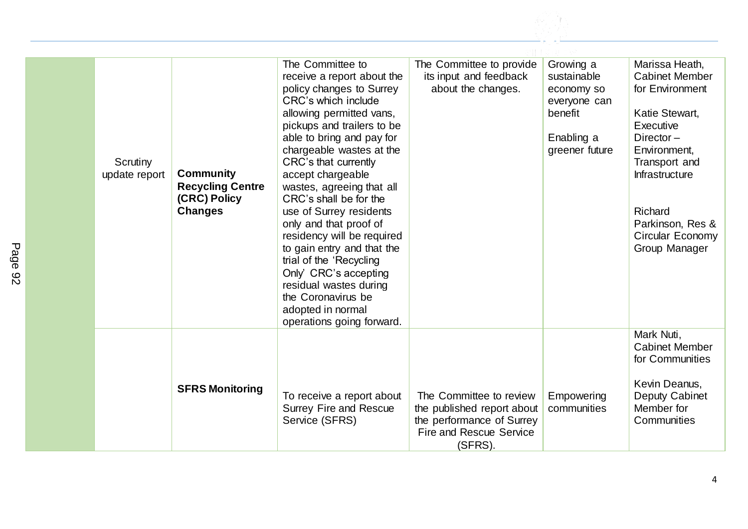| Scrutiny<br><b>Community</b><br>update report<br><b>Recycling Centre</b><br>(CRC) Policy<br><b>Changes</b> |                        | The Committee to<br>receive a report about the<br>policy changes to Surrey<br>CRC's which include<br>allowing permitted vans,<br>pickups and trailers to be<br>able to bring and pay for<br>chargeable wastes at the<br>CRC's that currently<br>accept chargeable<br>wastes, agreeing that all<br>CRC's shall be for the<br>use of Surrey residents<br>only and that proof of<br>residency will be required<br>to gain entry and that the<br>trial of the 'Recycling<br>Only' CRC's accepting<br>residual wastes during<br>the Coronavirus be<br>adopted in normal<br>operations going forward. | The Committee to provide<br>its input and feedback<br>about the changes.                                                        | Growing a<br>sustainable<br>economy so<br>everyone can<br>benefit<br>Enabling a<br>greener future | Marissa Heath,<br><b>Cabinet Member</b><br>for Environment<br>Katie Stewart,<br>Executive<br>Director $-$<br>Environment,<br>Transport and<br>Infrastructure<br>Richard<br>Parkinson, Res &<br>Circular Economy<br>Group Manager |
|------------------------------------------------------------------------------------------------------------|------------------------|-------------------------------------------------------------------------------------------------------------------------------------------------------------------------------------------------------------------------------------------------------------------------------------------------------------------------------------------------------------------------------------------------------------------------------------------------------------------------------------------------------------------------------------------------------------------------------------------------|---------------------------------------------------------------------------------------------------------------------------------|---------------------------------------------------------------------------------------------------|----------------------------------------------------------------------------------------------------------------------------------------------------------------------------------------------------------------------------------|
|                                                                                                            | <b>SFRS Monitoring</b> | To receive a report about<br><b>Surrey Fire and Rescue</b><br>Service (SFRS)                                                                                                                                                                                                                                                                                                                                                                                                                                                                                                                    | The Committee to review<br>the published report about<br>the performance of Surrey<br><b>Fire and Rescue Service</b><br>(SFRS). | Empowering<br>communities                                                                         | Mark Nuti,<br><b>Cabinet Member</b><br>for Communities<br>Kevin Deanus,<br>Deputy Cabinet<br>Member for<br>Communities                                                                                                           |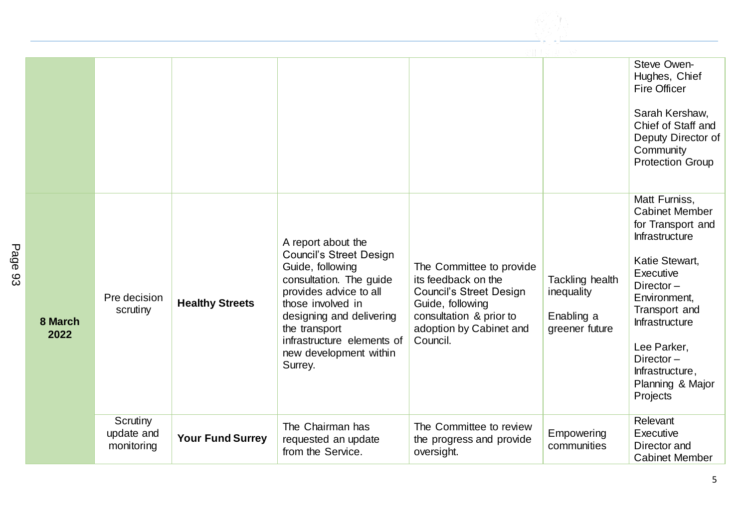

|                 |                                      |                         |                                                                                                                                                                                                                                                                    |                                                                                                                                                                         |                                                               | Steve Owen-<br>Hughes, Chief<br><b>Fire Officer</b><br>Sarah Kershaw,<br>Chief of Staff and<br>Deputy Director of<br>Community<br><b>Protection Group</b>                                                                                                                    |
|-----------------|--------------------------------------|-------------------------|--------------------------------------------------------------------------------------------------------------------------------------------------------------------------------------------------------------------------------------------------------------------|-------------------------------------------------------------------------------------------------------------------------------------------------------------------------|---------------------------------------------------------------|------------------------------------------------------------------------------------------------------------------------------------------------------------------------------------------------------------------------------------------------------------------------------|
| 8 March<br>2022 | Pre decision<br>scrutiny             | <b>Healthy Streets</b>  | A report about the<br><b>Council's Street Design</b><br>Guide, following<br>consultation. The guide<br>provides advice to all<br>those involved in<br>designing and delivering<br>the transport<br>infrastructure elements of<br>new development within<br>Surrey. | The Committee to provide<br>its feedback on the<br><b>Council's Street Design</b><br>Guide, following<br>consultation & prior to<br>adoption by Cabinet and<br>Council. | Tackling health<br>inequality<br>Enabling a<br>greener future | Matt Furniss,<br><b>Cabinet Member</b><br>for Transport and<br><b>Infrastructure</b><br>Katie Stewart,<br>Executive<br>Director $-$<br>Environment,<br>Transport and<br><b>Infrastructure</b><br>Lee Parker,<br>Director-<br>Infrastructure,<br>Planning & Major<br>Projects |
|                 | Scrutiny<br>update and<br>monitoring | <b>Your Fund Surrey</b> | The Chairman has<br>requested an update<br>from the Service.                                                                                                                                                                                                       | The Committee to review<br>the progress and provide<br>oversight.                                                                                                       | Empowering<br>communities                                     | Relevant<br>Executive<br>Director and<br><b>Cabinet Member</b>                                                                                                                                                                                                               |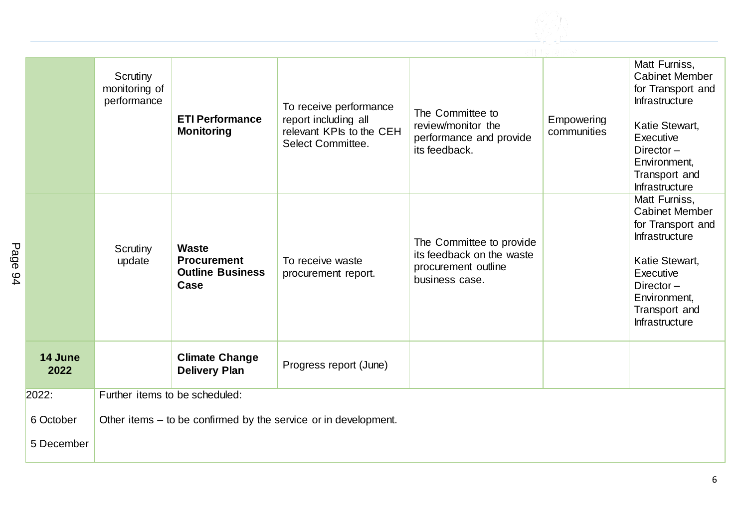

|                         | Scrutiny<br>monitoring of<br>performance | <b>ETI Performance</b><br><b>Monitoring</b>                           | To receive performance<br>report including all<br>relevant KPIs to the CEH<br>Select Committee. | The Committee to<br>review/monitor the<br>performance and provide<br>its feedback.             | Empowering<br>communities | Matt Furniss,<br><b>Cabinet Member</b><br>for Transport and<br>Infrastructure<br>Katie Stewart,<br>Executive<br>Director $-$<br>Environment,<br>Transport and<br>Infrastructure        |
|-------------------------|------------------------------------------|-----------------------------------------------------------------------|-------------------------------------------------------------------------------------------------|------------------------------------------------------------------------------------------------|---------------------------|----------------------------------------------------------------------------------------------------------------------------------------------------------------------------------------|
|                         | Scrutiny<br>update                       | <b>Waste</b><br><b>Procurement</b><br><b>Outline Business</b><br>Case | To receive waste<br>procurement report.                                                         | The Committee to provide<br>its feedback on the waste<br>procurement outline<br>business case. |                           | Matt Furniss,<br><b>Cabinet Member</b><br>for Transport and<br><b>Infrastructure</b><br>Katie Stewart,<br>Executive<br>Director $-$<br>Environment,<br>Transport and<br>Infrastructure |
| 14 June<br>2022         |                                          | <b>Climate Change</b><br><b>Delivery Plan</b>                         | Progress report (June)                                                                          |                                                                                                |                           |                                                                                                                                                                                        |
| 2022:                   | Further items to be scheduled:           |                                                                       |                                                                                                 |                                                                                                |                           |                                                                                                                                                                                        |
| 6 October<br>5 December |                                          |                                                                       | Other items – to be confirmed by the service or in development.                                 |                                                                                                |                           |                                                                                                                                                                                        |
|                         |                                          |                                                                       |                                                                                                 |                                                                                                |                           |                                                                                                                                                                                        |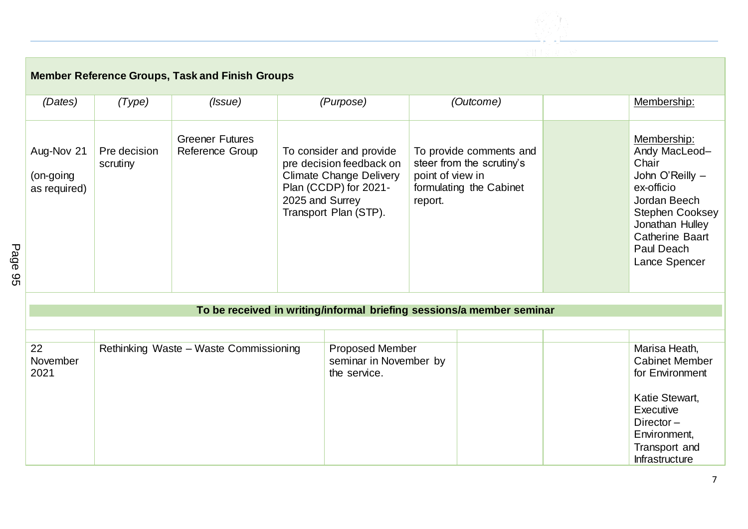

| <b>Member Reference Groups, Task and Finish Groups</b> |                          |                                           |  |                                                                                                                                                            |                                                                                     |                         |                                                                                                                                                                                       |
|--------------------------------------------------------|--------------------------|-------------------------------------------|--|------------------------------------------------------------------------------------------------------------------------------------------------------------|-------------------------------------------------------------------------------------|-------------------------|---------------------------------------------------------------------------------------------------------------------------------------------------------------------------------------|
| (Dates)                                                | (Type)                   | ( <i>Issue</i> )                          |  | (Purpose)                                                                                                                                                  |                                                                                     | (Outcome)               | Membership:                                                                                                                                                                           |
| Aug-Nov 21<br>(on-going<br>as required)                | Pre decision<br>scrutiny | <b>Greener Futures</b><br>Reference Group |  | To consider and provide<br>pre decision feedback on<br><b>Climate Change Delivery</b><br>Plan (CCDP) for 2021-<br>2025 and Surrey<br>Transport Plan (STP). | steer from the scrutiny's<br>point of view in<br>formulating the Cabinet<br>report. | To provide comments and | Membership:<br>Andy MacLeod-<br>Chair<br>John O'Reilly -<br>ex-officio<br>Jordan Beech<br>Stephen Cooksey<br>Jonathan Hulley<br><b>Catherine Baart</b><br>Paul Deach<br>Lance Spencer |
|                                                        |                          |                                           |  |                                                                                                                                                            |                                                                                     |                         |                                                                                                                                                                                       |
|                                                        |                          |                                           |  | To be received in writing/informal briefing sessions/a member seminar                                                                                      |                                                                                     |                         |                                                                                                                                                                                       |
|                                                        |                          |                                           |  |                                                                                                                                                            |                                                                                     |                         |                                                                                                                                                                                       |
| 22<br>November<br>2021                                 |                          | Rethinking Waste - Waste Commissioning    |  | Proposed Member<br>seminar in November by<br>the service.                                                                                                  |                                                                                     |                         | Marisa Heath,<br><b>Cabinet Member</b><br>for Environment<br>Katie Stewart,<br>Executive<br>Director $-$<br>Environment,<br>Transport and<br>Infrastructure                           |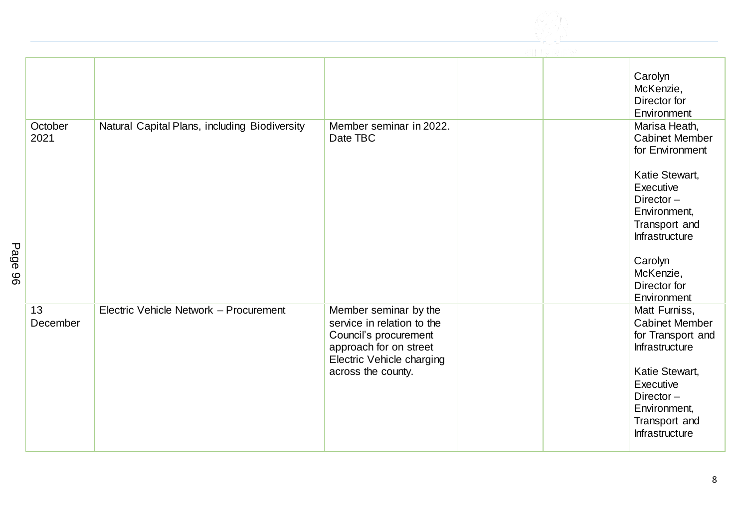

|                 |                                               |                                                                                                                                                           | Carolyn<br>McKenzie,<br>Director for<br>Environment                                                                                                                                                             |
|-----------------|-----------------------------------------------|-----------------------------------------------------------------------------------------------------------------------------------------------------------|-----------------------------------------------------------------------------------------------------------------------------------------------------------------------------------------------------------------|
| October<br>2021 | Natural Capital Plans, including Biodiversity | Member seminar in 2022.<br>Date TBC                                                                                                                       | Marisa Heath,<br><b>Cabinet Member</b><br>for Environment<br>Katie Stewart,<br>Executive<br>Director-<br>Environment,<br>Transport and<br>Infrastructure<br>Carolyn<br>McKenzie,<br>Director for<br>Environment |
| 13<br>December  | Electric Vehicle Network - Procurement        | Member seminar by the<br>service in relation to the<br>Council's procurement<br>approach for on street<br>Electric Vehicle charging<br>across the county. | Matt Furniss,<br><b>Cabinet Member</b><br>for Transport and<br>Infrastructure<br>Katie Stewart,<br>Executive<br>Director-<br>Environment,<br>Transport and<br>Infrastructure                                    |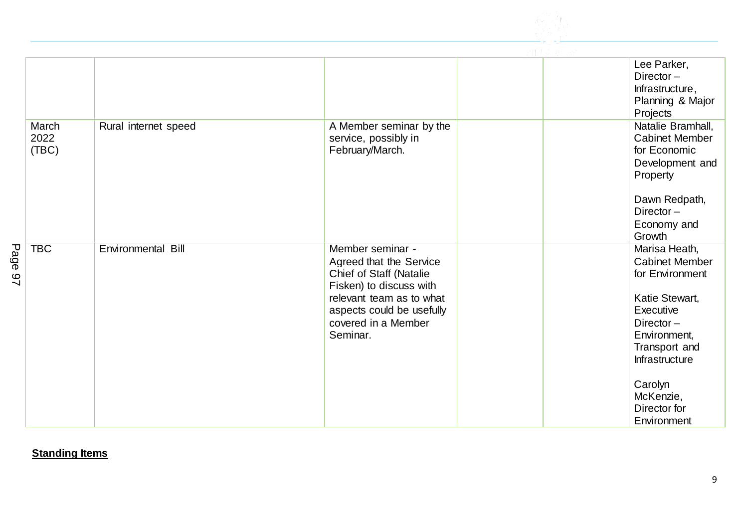

|                                      |                      |                                                                                                                                                                                                      | Lee Parker,<br>Director-<br>Infrastructure,<br>Planning & Major<br>Projects                                                                                                                                        |
|--------------------------------------|----------------------|------------------------------------------------------------------------------------------------------------------------------------------------------------------------------------------------------|--------------------------------------------------------------------------------------------------------------------------------------------------------------------------------------------------------------------|
| March<br>2022<br>(TBC)               | Rural internet speed | A Member seminar by the<br>service, possibly in<br>February/March.                                                                                                                                   | Natalie Bramhall,<br><b>Cabinet Member</b><br>for Economic<br>Development and<br>Property<br>Dawn Redpath,<br>Director $-$<br>Economy and<br>Growth                                                                |
| Page<br><b>TBC</b><br>$\overline{2}$ | Environmental Bill   | Member seminar -<br>Agreed that the Service<br><b>Chief of Staff (Natalie</b><br>Fisken) to discuss with<br>relevant team as to what<br>aspects could be usefully<br>covered in a Member<br>Seminar. | Marisa Heath,<br><b>Cabinet Member</b><br>for Environment<br>Katie Stewart,<br>Executive<br>Director $-$<br>Environment,<br>Transport and<br>Infrastructure<br>Carolyn<br>McKenzie,<br>Director for<br>Environment |

**Standing Items**